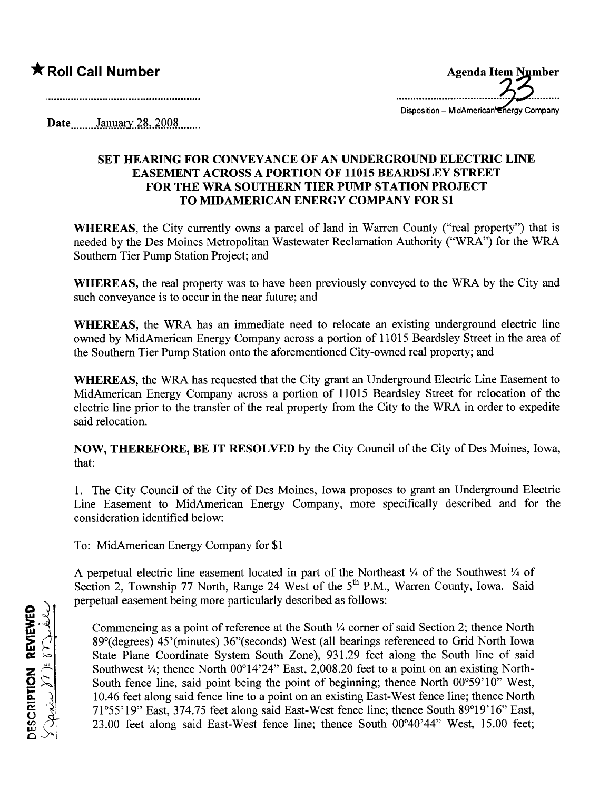## \* Roll Call Number

Agenda Item Number ..~~;;;~;~;.=;:;;;;;:;~;;;~;~

Disposition - MidAmerican Energy Company

Date  $\frac{\text{January } 28,2008}{\text{January } 29}$ 

## SET HEARING FOR CONVEYANCE OF AN UNDERGROUND ELECTRIC LINE EASEMENT ACROSS A PORTION OF 11015 BEARDSLEY STREET FOR THE WRA SOUTHERN TIER PUMP STATION PROJECT TO MIDAMERICAN ENERGY COMPANY FOR \$1

WHEREAS, the City currently owns a parcel of land in Waren County ("real property") that is needed by the Des Moines Metropolitan Wastewater Reclamation Authority ("WRA") for the WRA Southern Tier Pump Station Project; and

WHEREAS, the real property was to have been previously conveyed to the WRA by the City and such conveyance is to occur in the near future; and

WHEREAS, the WRA has an immediate need to relocate an existing underground electric line owned by MidAmerican Energy Company across a portion of 11015 Beardsley Street in the area of the Southern Tier Pump Station onto the aforementioned City-owned real property; and

WHEREAS, the WRA has requested that the City grant an Underground Electric Line Easement to MidAmerican Energy Company across a portion of 11015 Beardsley Street for relocation of the electric line prior to the transfer of the real property from the City to the WRA in order to expedite said relocation.

NOW, THEREFORE, BE IT RESOLVED by the City Council of the City of Des Moines, Iowa, that:

1. The City Council of the City of Des Moines, Iowa proposes to grant an Underground Electric Line Easement to MidAmerican Energy Company, more specifically described and for the consideration identified below:

To: MidAmerican Energy Company for \$1

A perpetual electric line easement located in part of the Northeast  $\frac{1}{4}$  of the Southwest  $\frac{1}{4}$  of Section 2, Township 77 North, Range 24 West of the 5<sup>th</sup> P.M., Warren County, Iowa. Said perpetual easement being more paricularly described as follows:

<u>۾</u> <u>ਜ</u> <u>።</u><br>አ **K COLLE**<br>US TOOL SCRIP:<br>بصمید  $\frac{1}{2}$ 

Commencing as a point of reference at the South  $\frac{1}{4}$  corner of said Section 2; thence North 89°(degrees) 45'(minutes) 36"(seconds) West (all bearings referenced to Grid North Iowa State Plane Coordinate System South Zone), 931.29 feet along the South line of said Southwest  $\frac{1}{4}$ ; thence North 00°14'24" East, 2,008.20 feet to a point on an existing North-South fence line, said point being the point of beginning; thence North 00°59'10" West, 10.46 feet along said fence line to a point on an existing East-West fence line; thence North 71°55'19" East, 374.75 feet along said East-West fence line; thence South 89°19'16" East, 23.00 feet along said East-West fence line; thence South 00°40'44" West, 15.00 feet;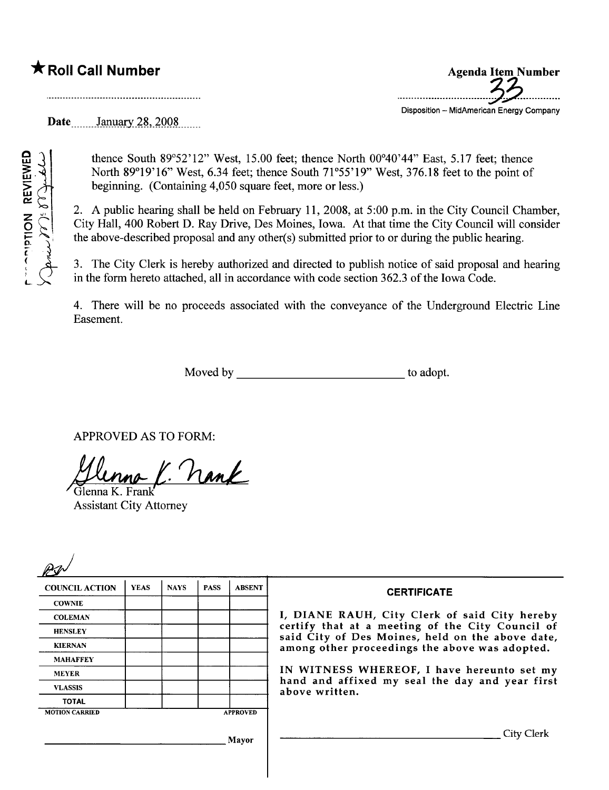## \* Roll Call Number

REVIEWE<br>Computer

 $\sum_{\gamma} \sum_{j \in \mathcal{N}}$ 

~'J'

L

 $\begin{pmatrix} 0 & 1 \ 0 & 0 \end{pmatrix}$ 

Agenda Item Number .----..-.......-.......-.-------8~.--..----.... Disposition - MidAmerican Energy Company

Date<sub>.......</sub>January 28, 2008

thence South 89°52'12" West, 15.00 feet; thence North 00°40'44" East, 5.17 feet; thence North 89°19'16" West, 6.34 feet; thence South 71°55'19" West, 376.18 feet to the point of beginning. (Containing 4,050 square feet, more or less.)

2. A public hearing shall be held on February 11,2008, at 5:00 p.m. in the City Council Chamber, City Hall, 400 Robert D. Ray Drive, Des Moines, Iowa. At that time the City Council wil consider the above-described proposal and any other(s) submitted prior to or during the public hearing.

3. The City Clerk is hereby authorized and directed to publish notice of said proposal and hearing in the form hereto attached, all in accordance with code section 362.3 of the Iowa Code.

4. There will be no proceeds associated with the conveyance of the Underground Electric Line Easement.

Moved by to adopt.

APPROVED AS TO FORM:

Glenna K. nank

Assistant City Attorney

| <b>COUNCIL ACTION</b> | <b>YEAS</b> | <b>NAYS</b> | <b>PASS</b> | <b>ABSENT</b>   | <b>CERTIFICATE</b><br>I, DIANE RAUH, City Clerk of said City hereby                                                                                               |  |
|-----------------------|-------------|-------------|-------------|-----------------|-------------------------------------------------------------------------------------------------------------------------------------------------------------------|--|
| <b>COWNIE</b>         |             |             |             |                 |                                                                                                                                                                   |  |
| <b>COLEMAN</b>        |             |             |             |                 |                                                                                                                                                                   |  |
| <b>HENSLEY</b>        |             |             |             |                 | certify that at a meeting of the City Council of<br>said City of Des Moines, held on the above date,                                                              |  |
| <b>KIERNAN</b>        |             |             |             |                 | among other proceedings the above was adopted.<br>IN WITNESS WHEREOF, I have hereunto set my<br>hand and affixed my seal the day and year first<br>above written. |  |
| <b>MAHAFFEY</b>       |             |             |             |                 |                                                                                                                                                                   |  |
| <b>MEYER</b>          |             |             |             |                 |                                                                                                                                                                   |  |
| <b>VLASSIS</b>        |             |             |             |                 |                                                                                                                                                                   |  |
| <b>TOTAL</b>          |             |             |             |                 |                                                                                                                                                                   |  |
| <b>MOTION CARRIED</b> |             |             |             | <b>APPROVED</b> |                                                                                                                                                                   |  |
| Mayor                 |             |             |             |                 | City Clerk                                                                                                                                                        |  |